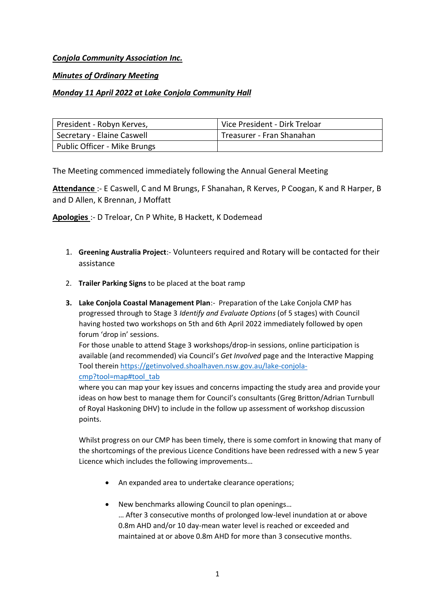# *Conjola Community Association Inc.*

## *Minutes of Ordinary Meeting*

# *Monday 11 April 2022 at Lake Conjola Community Hall*

| President - Robyn Kerves,    | Vice President - Dirk Treloar |
|------------------------------|-------------------------------|
| Secretary - Elaine Caswell   | Treasurer - Fran Shanahan     |
| Public Officer - Mike Brungs |                               |

The Meeting commenced immediately following the Annual General Meeting

**Attendance** :- E Caswell, C and M Brungs, F Shanahan, R Kerves, P Coogan, K and R Harper, B and D Allen, K Brennan, J Moffatt

**Apologies** :- D Treloar, Cn P White, B Hackett, K Dodemead

- 1. **Greening Australia Project**:- Volunteers required and Rotary will be contacted for their assistance
- 2. **Trailer Parking Signs** to be placed at the boat ramp
- **3. Lake Conjola Coastal Management Plan**:- Preparation of the Lake Conjola CMP has progressed through to Stage 3 *Identify and Evaluate Options* (of 5 stages) with Council having hosted two workshops on 5th and 6th April 2022 immediately followed by open forum 'drop in' sessions.

For those unable to attend Stage 3 workshops/drop-in sessions, online participation is available (and recommended) via Council's *Get Involved* page and the Interactive Mapping Tool therein https://getinvolved.shoalhaven.nsw.gov.au/lake-conjolacmp?tool=map#tool\_tab

where you can map your key issues and concerns impacting the study area and provide your ideas on how best to manage them for Council's consultants (Greg Britton/Adrian Turnbull of Royal Haskoning DHV) to include in the follow up assessment of workshop discussion points.

Whilst progress on our CMP has been timely, there is some comfort in knowing that many of the shortcomings of the previous Licence Conditions have been redressed with a new 5 year Licence which includes the following improvements…

- An expanded area to undertake clearance operations;
- New benchmarks allowing Council to plan openings…

… After 3 consecutive months of prolonged low-level inundation at or above 0.8m AHD and/or 10 day-mean water level is reached or exceeded and maintained at or above 0.8m AHD for more than 3 consecutive months.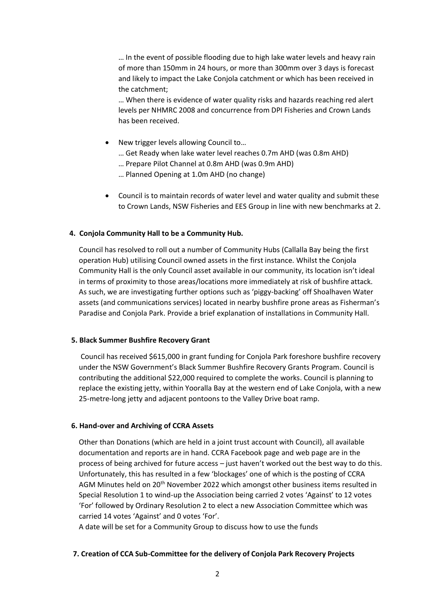… In the event of possible flooding due to high lake water levels and heavy rain of more than 150mm in 24 hours, or more than 300mm over 3 days is forecast and likely to impact the Lake Conjola catchment or which has been received in the catchment;

… When there is evidence of water quality risks and hazards reaching red alert levels per NHMRC 2008 and concurrence from DPI Fisheries and Crown Lands has been received.

- New trigger levels allowing Council to...
	- … Get Ready when lake water level reaches 0.7m AHD (was 0.8m AHD)
	- … Prepare Pilot Channel at 0.8m AHD (was 0.9m AHD)
	- … Planned Opening at 1.0m AHD (no change)
- Council is to maintain records of water level and water quality and submit these to Crown Lands, NSW Fisheries and EES Group in line with new benchmarks at 2.

### **4. Conjola Community Hall to be a Community Hub.**

Council has resolved to roll out a number of Community Hubs (Callalla Bay being the first operation Hub) utilising Council owned assets in the first instance. Whilst the Conjola Community Hall is the only Council asset available in our community, its location isn't ideal in terms of proximity to those areas/locations more immediately at risk of bushfire attack. As such, we are investigating further options such as 'piggy-backing' off Shoalhaven Water assets (and communications services) located in nearby bushfire prone areas as Fisherman's Paradise and Conjola Park. Provide a brief explanation of installations in Community Hall.

#### **5. Black Summer Bushfire Recovery Grant**

Council has received \$615,000 in grant funding for Conjola Park foreshore bushfire recovery under the NSW Government's Black Summer Bushfire Recovery Grants Program. Council is contributing the additional \$22,000 required to complete the works. Council is planning to replace the existing jetty, within Yooralla Bay at the western end of Lake Conjola, with a new 25-metre-long jetty and adjacent pontoons to the Valley Drive boat ramp.

#### **6. Hand-over and Archiving of CCRA Assets**

Other than Donations (which are held in a joint trust account with Council), all available documentation and reports are in hand. CCRA Facebook page and web page are in the process of being archived for future access – just haven't worked out the best way to do this. Unfortunately, this has resulted in a few 'blockages' one of which is the posting of CCRA AGM Minutes held on 20th November 2022 which amongst other business items resulted in Special Resolution 1 to wind-up the Association being carried 2 votes 'Against' to 12 votes 'For' followed by Ordinary Resolution 2 to elect a new Association Committee which was carried 14 votes 'Against' and 0 votes 'For'.

A date will be set for a Community Group to discuss how to use the funds

#### **7. Creation of CCA Sub-Committee for the delivery of Conjola Park Recovery Projects**